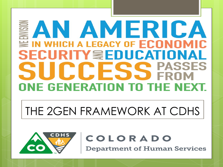## AN AMERICA IN WHICH A LEGACY OF ECONOMIC **SECURITY WEDUCATIONAL PASSES** CCESS ONE GENERATION TO THE NEXT.

# THE 2GEN FRAMEWORK AT CDHS



#### COLORADO

**Department of Human Services**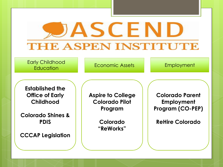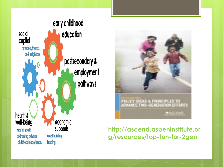



#### **http://ascend.aspeninstitute.or g/resources/top-ten-for-2gen**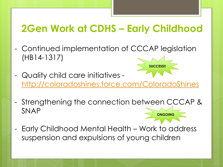#### **2Gen Work at CDHS – Early Childhood**

- Continued implementation of CCCAP legislation (HB14-1317)
- Quality child care initiatives <http://coloradoshines.force.com/ColoradoShines>

**SUCCESS!!**

- Strengthening the connection between CCCAP & SNAP **ONGOING**
- Early Childhood Mental Health Work to address suspension and expulsions of young children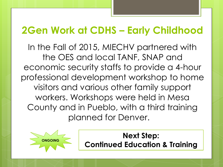### **2Gen Work at CDHS – Early Childhood**

In the Fall of 2015, MIECHV partnered with the OES and local TANF, SNAP and economic security staffs to provide a 4-hour professional development workshop to home visitors and various other family support workers. Workshops were held in Mesa County and in Pueblo, with a third training planned for Denver.



**Next Step: Continued Education & Training**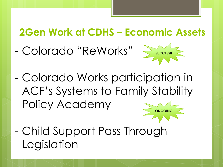#### **2Gen Work at CDHS – Economic Assets**

- Colorado "ReWorks"



- Colorado Works participation in ACF's Systems to Family Stability Policy Academy **ONGOING**
- Child Support Pass Through Legislation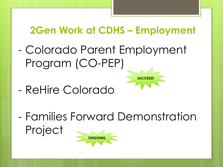## **2Gen Work at CDHS – Employment**

**SUCCESS!!**

- Colorado Parent Employment Program (CO-PEP)
- ReHire Colorado
- Families Forward Demonstration Project **ONGOING**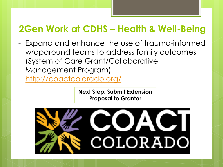#### **2Gen Work at CDHS – Health & Well-Being**

Expand and enhance the use of trauma-informed wraparound teams to address family outcomes (System of Care Grant/Collaborative Management Program) <http://coactcolorado.org/>

> **Next Step: Submit Extension Proposal to Grantor**